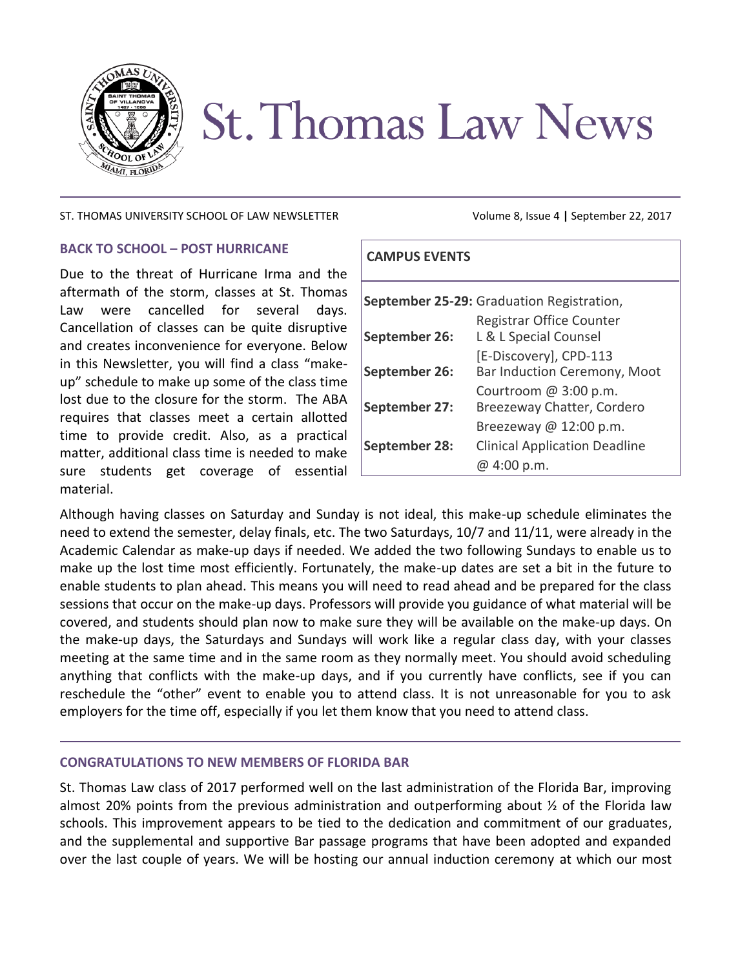

# **St. Thomas Law News**

#### ST. THOMAS UNIVERSITY SCHOOL OF LAW NEWSLETTER Volume 8, Issue 4 **|** September 22, 2017

## **BACK TO SCHOOL – POST HURRICANE**

Due to the threat of Hurricane Irma and the aftermath of the storm, classes at St. Thomas Law were cancelled for several days. Cancellation of classes can be quite disruptive and creates inconvenience for everyone. Below in this Newsletter, you will find a class "makeup" schedule to make up some of the class time lost due to the closure for the storm. The ABA requires that classes meet a certain allotted time to provide credit. Also, as a practical matter, additional class time is needed to make sure students get coverage of essential material.

| <b>CAMPUS EVENTS</b>                      |                                                        |
|-------------------------------------------|--------------------------------------------------------|
| September 25-29: Graduation Registration, |                                                        |
| September 26:                             | Registrar Office Counter<br>L & L Special Counsel      |
| September 26:                             | [E-Discovery], CPD-113<br>Bar Induction Ceremony, Moot |
| September 27:                             | Courtroom $@3:00 p.m.$<br>Breezeway Chatter, Cordero   |
|                                           | Breezeway $@12:00 p.m.$                                |
| September 28:                             | <b>Clinical Application Deadline</b><br>@ 4:00 p.m.    |

Although having classes on Saturday and Sunday is not ideal, this make-up schedule eliminates the need to extend the semester, delay finals, etc. The two Saturdays, 10/7 and 11/11, were already in the Academic Calendar as make-up days if needed. We added the two following Sundays to enable us to make up the lost time most efficiently. Fortunately, the make-up dates are set a bit in the future to enable students to plan ahead. This means you will need to read ahead and be prepared for the class sessions that occur on the make-up days. Professors will provide you guidance of what material will be covered, and students should plan now to make sure they will be available on the make-up days. On the make-up days, the Saturdays and Sundays will work like a regular class day, with your classes meeting at the same time and in the same room as they normally meet. You should avoid scheduling anything that conflicts with the make-up days, and if you currently have conflicts, see if you can reschedule the "other" event to enable you to attend class. It is not unreasonable for you to ask employers for the time off, especially if you let them know that you need to attend class.

## **CONGRATULATIONS TO NEW MEMBERS OF FLORIDA BAR**

St. Thomas Law class of 2017 performed well on the last administration of the Florida Bar, improving almost 20% points from the previous administration and outperforming about  $\frac{1}{2}$  of the Florida law schools. This improvement appears to be tied to the dedication and commitment of our graduates, and the supplemental and supportive Bar passage programs that have been adopted and expanded over the last couple of years. We will be hosting our annual induction ceremony at which our most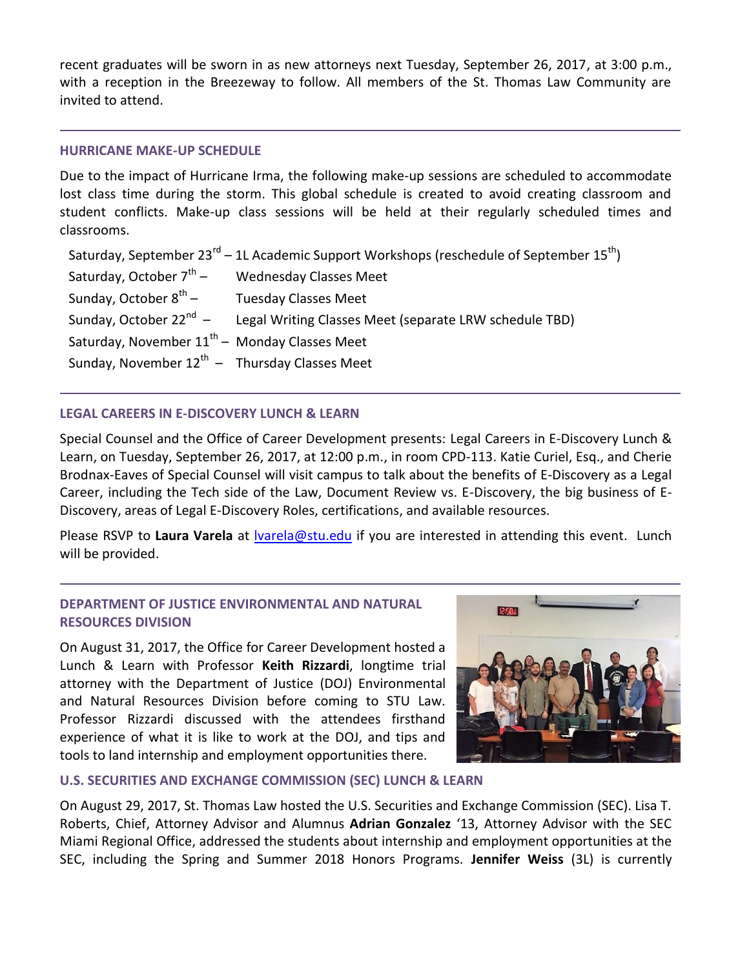recent graduates will be sworn in as new attorneys next Tuesday, September 26, 2017, at 3:00 p.m., with a reception in the Breezeway to follow. All members of the St. Thomas Law Community are invited to attend.

## **HURRICANE MAKE-UP SCHEDULE**

Due to the impact of Hurricane Irma, the following make-up sessions are scheduled to accommodate lost class time during the storm. This global schedule is created to avoid creating classroom and student conflicts. Make-up class sessions will be held at their regularly scheduled times and classrooms.

Saturday, September 23<sup>rd</sup> – 1L Academic Support Workshops (reschedule of September 15<sup>th</sup>) Saturday, October  $7^{th}$  – – Wednesday Classes Meet Sunday, October  $8^{th}$  – – Tuesday Classes Meet Sunday, October 22<sup>nd</sup> - – Legal Writing Classes Meet (separate LRW schedule TBD) Saturday, November  $11^{\text{th}}$  – Monday Classes Meet Sunday, November  $12^{th}$  – Thursday Classes Meet

## **LEGAL CAREERS IN E-DISCOVERY LUNCH & LEARN**

Special Counsel and the Office of Career Development presents: Legal Careers in E-Discovery Lunch & Learn, on Tuesday, September 26, 2017, at 12:00 p.m., in room CPD-113. Katie Curiel, Esq., and Cherie Brodnax-Eaves of Special Counsel will visit campus to talk about the benefits of E-Discovery as a Legal Career, including the Tech side of the Law, Document Review vs. E-Discovery, the big business of E-Discovery, areas of Legal E-Discovery Roles, certifications, and available resources.

Please RSVP to **Laura Varela** at [lvarela@stu.edu](mailto:lvarela@stu.edu) if you are interested in attending this event. Lunch will be provided.

## **DEPARTMENT OF JUSTICE ENVIRONMENTAL AND NATURAL RESOURCES DIVISION**

On August 31, 2017, the Office for Career Development hosted a Lunch & Learn with Professor **Keith Rizzardi**, longtime trial attorney with the Department of Justice (DOJ) Environmental and Natural Resources Division before coming to STU Law. Professor Rizzardi discussed with the attendees firsthand experience of what it is like to work at the DOJ, and tips and tools to land internship and employment opportunities there.



## **U.S. SECURITIES AND EXCHANGE COMMISSION (SEC) LUNCH & LEARN**

On August 29, 2017, St. Thomas Law hosted the U.S. Securities and Exchange Commission (SEC). Lisa T. Roberts, Chief, Attorney Advisor and Alumnus **Adrian Gonzalez** '13, Attorney Advisor with the SEC Miami Regional Office, addressed the students about internship and employment opportunities at the SEC, including the Spring and Summer 2018 Honors Programs. **Jennifer Weiss** (3L) is currently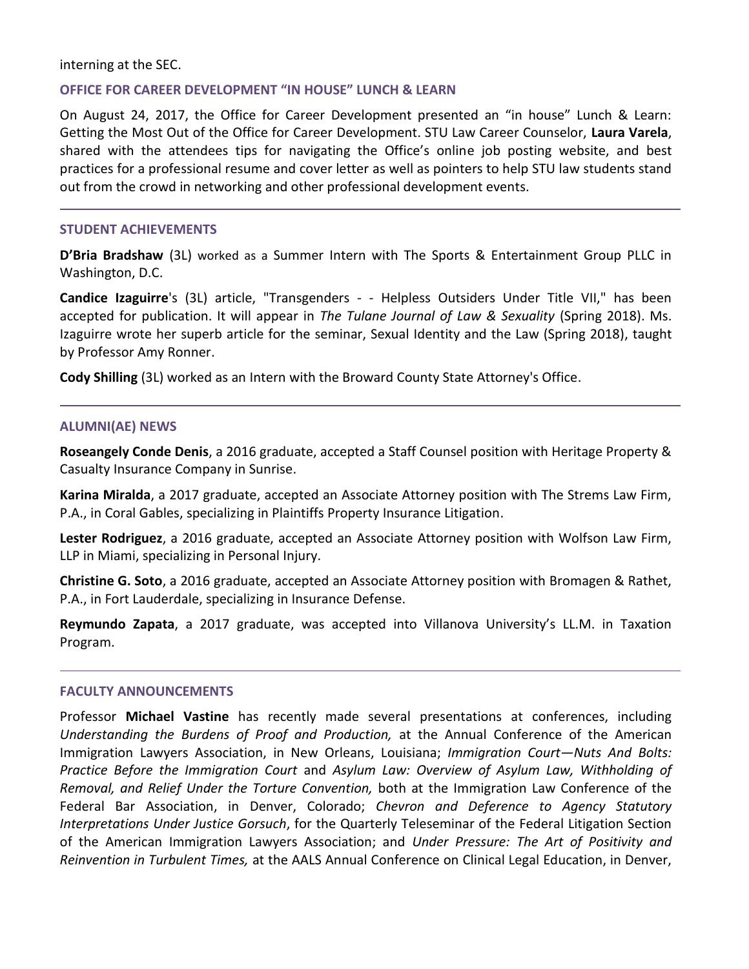## interning at the SEC.

## **OFFICE FOR CAREER DEVELOPMENT "IN HOUSE" LUNCH & LEARN**

On August 24, 2017, the Office for Career Development presented an "in house" Lunch & Learn: Getting the Most Out of the Office for Career Development. STU Law Career Counselor, **Laura Varela**, shared with the attendees tips for navigating the Office's online job posting website, and best practices for a professional resume and cover letter as well as pointers to help STU law students stand out from the crowd in networking and other professional development events.

## **STUDENT ACHIEVEMENTS**

**D'Bria Bradshaw** (3L) worked as a Summer Intern with The Sports & Entertainment Group PLLC in Washington, D.C.

**Candice Izaguirre**'s (3L) article, "Transgenders - - Helpless Outsiders Under Title VII," has been accepted for publication. It will appear in *The Tulane Journal of Law & Sexuality* (Spring 2018). Ms. Izaguirre wrote her superb article for the seminar, Sexual Identity and the Law (Spring 2018), taught by Professor Amy Ronner.

**Cody Shilling** (3L) worked as an Intern with the Broward County State Attorney's Office.

#### **ALUMNI(AE) NEWS**

**Roseangely Conde Denis**, a 2016 graduate, accepted a Staff Counsel position with Heritage Property & Casualty Insurance Company in Sunrise.

**Karina Miralda**, a 2017 graduate, accepted an Associate Attorney position with The Strems Law Firm, P.A., in Coral Gables, specializing in Plaintiffs Property Insurance Litigation.

**Lester Rodriguez**, a 2016 graduate, accepted an Associate Attorney position with Wolfson Law Firm, LLP in Miami, specializing in Personal Injury.

**Christine G. Soto**, a 2016 graduate, accepted an Associate Attorney position with Bromagen & Rathet, P.A., in Fort Lauderdale, specializing in Insurance Defense.

**Reymundo Zapata**, a 2017 graduate, was accepted into Villanova University's LL.M. in Taxation Program.

#### **FACULTY ANNOUNCEMENTS**

Professor **Michael Vastine** has recently made several presentations at conferences, including *Understanding the Burdens of Proof and Production,* at the Annual Conference of the American Immigration Lawyers Association, in New Orleans, Louisiana; *Immigration Court—Nuts And Bolts: Practice Before the Immigration Court* and *Asylum Law: Overview of Asylum Law, Withholding of Removal, and Relief Under the Torture Convention,* both at the Immigration Law Conference of the Federal Bar Association, in Denver, Colorado; *Chevron and Deference to Agency Statutory Interpretations Under Justice Gorsuch*, for the Quarterly Teleseminar of the Federal Litigation Section of the American Immigration Lawyers Association; and *Under Pressure: The Art of Positivity and Reinvention in Turbulent Times,* at the AALS Annual Conference on Clinical Legal Education, in Denver,